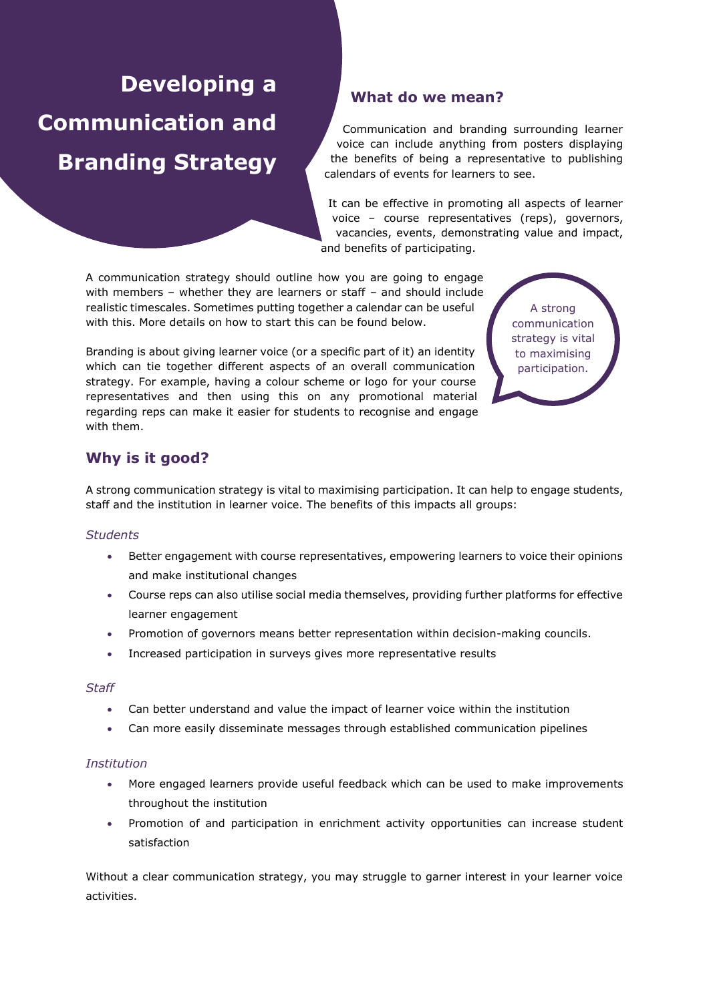# **Developing a Communication and Branding Strategy**

# **What do we mean?**

Communication and branding surrounding learner voice can include anything from posters displaying the benefits of being a representative to publishing calendars of events for learners to see.

It can be effective in promoting all aspects of learner voice – course representatives (reps), governors, vacancies, events, demonstrating value and impact, and benefits of participating.

A communication strategy should outline how you are going to engage with members – whether they are learners or staff – and should include realistic timescales. Sometimes putting together a calendar can be useful with this. More details on how to start this can be found below.

Branding is about giving learner voice (or a specific part of it) an identity which can tie together different aspects of an overall communication strategy. For example, having a colour scheme or logo for your course representatives and then using this on any promotional material regarding reps can make it easier for students to recognise and engage with them.

A strong communication strategy is vital to maximising participation.

# **Why is it good?**

A strong communication strategy is vital to maximising participation. It can help to engage students, staff and the institution in learner voice. The benefits of this impacts all groups:

## *Students*

- Better engagement with course representatives, empowering learners to voice their opinions and make institutional changes
- Course reps can also utilise social media themselves, providing further platforms for effective learner engagement
- Promotion of governors means better representation within decision-making councils.
- Increased participation in surveys gives more representative results

#### *Staff*

- Can better understand and value the impact of learner voice within the institution
- Can more easily disseminate messages through established communication pipelines

## *Institution*

- More engaged learners provide useful feedback which can be used to make improvements throughout the institution
- Promotion of and participation in enrichment activity opportunities can increase student satisfaction

Without a clear communication strategy, you may struggle to garner interest in your learner voice activities.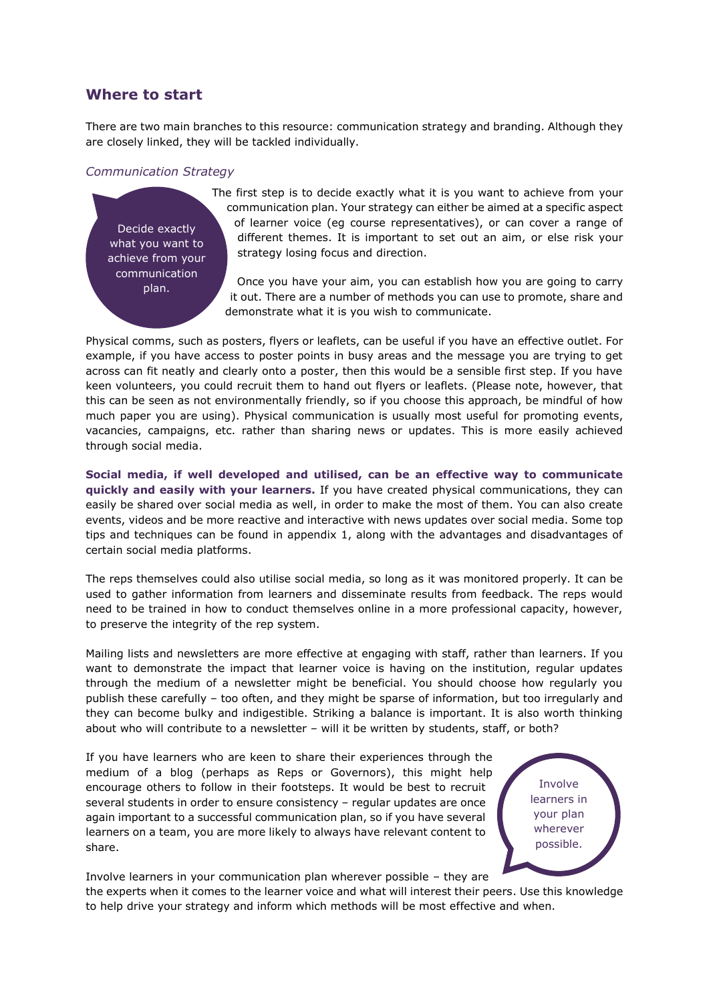## **Where to start**

There are two main branches to this resource: communication strategy and branding. Although they are closely linked, they will be tackled individually.

#### *Communication Strategy*

Decide exactly what you want to achieve from your communication plan.

The first step is to decide exactly what it is you want to achieve from your communication plan. Your strategy can either be aimed at a specific aspect of learner voice (eg course representatives), or can cover a range of different themes. It is important to set out an aim, or else risk your strategy losing focus and direction.

Once you have your aim, you can establish how you are going to carry it out. There are a number of methods you can use to promote, share and demonstrate what it is you wish to communicate.

Physical comms, such as posters, flyers or leaflets, can be useful if you have an effective outlet. For example, if you have access to poster points in busy areas and the message you are trying to get across can fit neatly and clearly onto a poster, then this would be a sensible first step. If you have keen volunteers, you could recruit them to hand out flyers or leaflets. (Please note, however, that this can be seen as not environmentally friendly, so if you choose this approach, be mindful of how much paper you are using). Physical communication is usually most useful for promoting events, vacancies, campaigns, etc. rather than sharing news or updates. This is more easily achieved through social media.

**Social media, if well developed and utilised, can be an effective way to communicate quickly and easily with your learners.** If you have created physical communications, they can easily be shared over social media as well, in order to make the most of them. You can also create events, videos and be more reactive and interactive with news updates over social media. Some top tips and techniques can be found in appendix 1, along with the advantages and disadvantages of certain social media platforms.

The reps themselves could also utilise social media, so long as it was monitored properly. It can be used to gather information from learners and disseminate results from feedback. The reps would need to be trained in how to conduct themselves online in a more professional capacity, however, to preserve the integrity of the rep system.

Mailing lists and newsletters are more effective at engaging with staff, rather than learners. If you want to demonstrate the impact that learner voice is having on the institution, regular updates through the medium of a newsletter might be beneficial. You should choose how regularly you publish these carefully – too often, and they might be sparse of information, but too irregularly and they can become bulky and indigestible. Striking a balance is important. It is also worth thinking about who will contribute to a newsletter – will it be written by students, staff, or both?

If you have learners who are keen to share their experiences through the medium of a blog (perhaps as Reps or Governors), this might help encourage others to follow in their footsteps. It would be best to recruit several students in order to ensure consistency – regular updates are once again important to a successful communication plan, so if you have several learners on a team, you are more likely to always have relevant content to share.

Involve learners in your plan wherever possible.

Involve learners in your communication plan wherever possible – they are the experts when it comes to the learner voice and what will interest their peers. Use this knowledge to help drive your strategy and inform which methods will be most effective and when.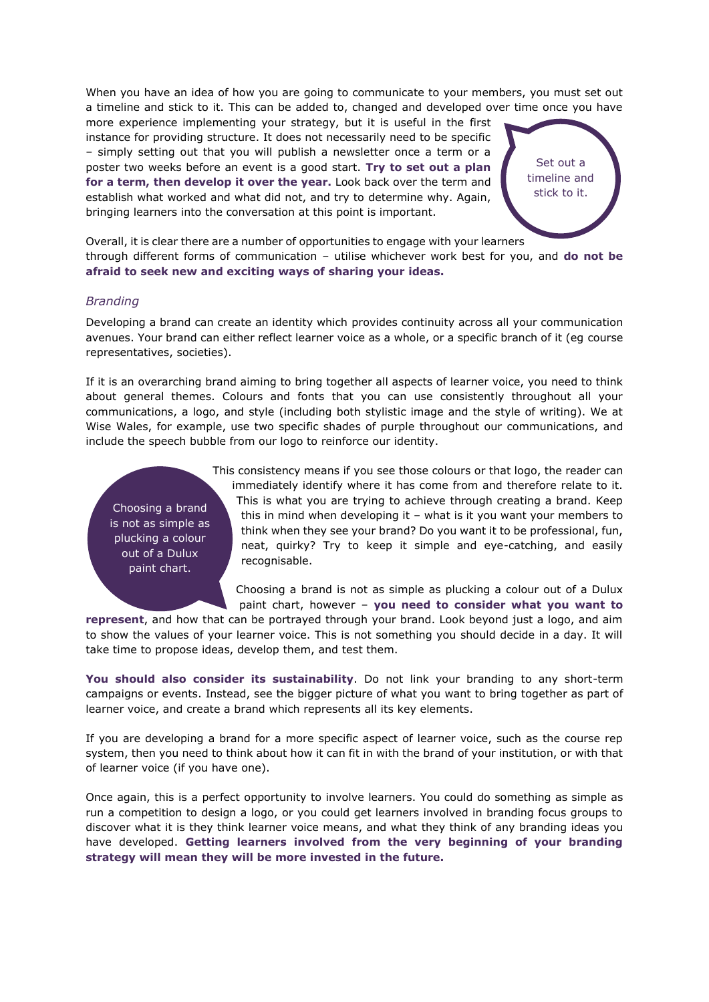When you have an idea of how you are going to communicate to your members, you must set out a timeline and stick to it. This can be added to, changed and developed over time once you have

more experience implementing your strategy, but it is useful in the first instance for providing structure. It does not necessarily need to be specific – simply setting out that you will publish a newsletter once a term or a poster two weeks before an event is a good start. **Try to set out a plan for a term, then develop it over the year.** Look back over the term and establish what worked and what did not, and try to determine why. Again, bringing learners into the conversation at this point is important.



Overall, it is clear there are a number of opportunities to engage with your learners through different forms of communication – utilise whichever work best for you, and **do not be afraid to seek new and exciting ways of sharing your ideas.**

#### *Branding*

Developing a brand can create an identity which provides continuity across all your communication avenues. Your brand can either reflect learner voice as a whole, or a specific branch of it (eg course representatives, societies).

If it is an overarching brand aiming to bring together all aspects of learner voice, you need to think about general themes. Colours and fonts that you can use consistently throughout all your communications, a logo, and style (including both stylistic image and the style of writing). We at Wise Wales, for example, use two specific shades of purple throughout our communications, and include the speech bubble from our logo to reinforce our identity.

Choosing a brand is not as simple as plucking a colour out of a Dulux paint chart.

This consistency means if you see those colours or that logo, the reader can immediately identify where it has come from and therefore relate to it. This is what you are trying to achieve through creating a brand. Keep this in mind when developing it – what is it you want your members to think when they see your brand? Do you want it to be professional, fun, neat, quirky? Try to keep it simple and eye-catching, and easily recognisable.

Choosing a brand is not as simple as plucking a colour out of a Dulux paint chart, however – **you need to consider what you want to** 

**represent**, and how that can be portrayed through your brand. Look beyond just a logo, and aim to show the values of your learner voice. This is not something you should decide in a day. It will take time to propose ideas, develop them, and test them.

**You should also consider its sustainability**. Do not link your branding to any short-term campaigns or events. Instead, see the bigger picture of what you want to bring together as part of learner voice, and create a brand which represents all its key elements.

If you are developing a brand for a more specific aspect of learner voice, such as the course rep system, then you need to think about how it can fit in with the brand of your institution, or with that of learner voice (if you have one).

Once again, this is a perfect opportunity to involve learners. You could do something as simple as run a competition to design a logo, or you could get learners involved in branding focus groups to discover what it is they think learner voice means, and what they think of any branding ideas you have developed. **Getting learners involved from the very beginning of your branding strategy will mean they will be more invested in the future.**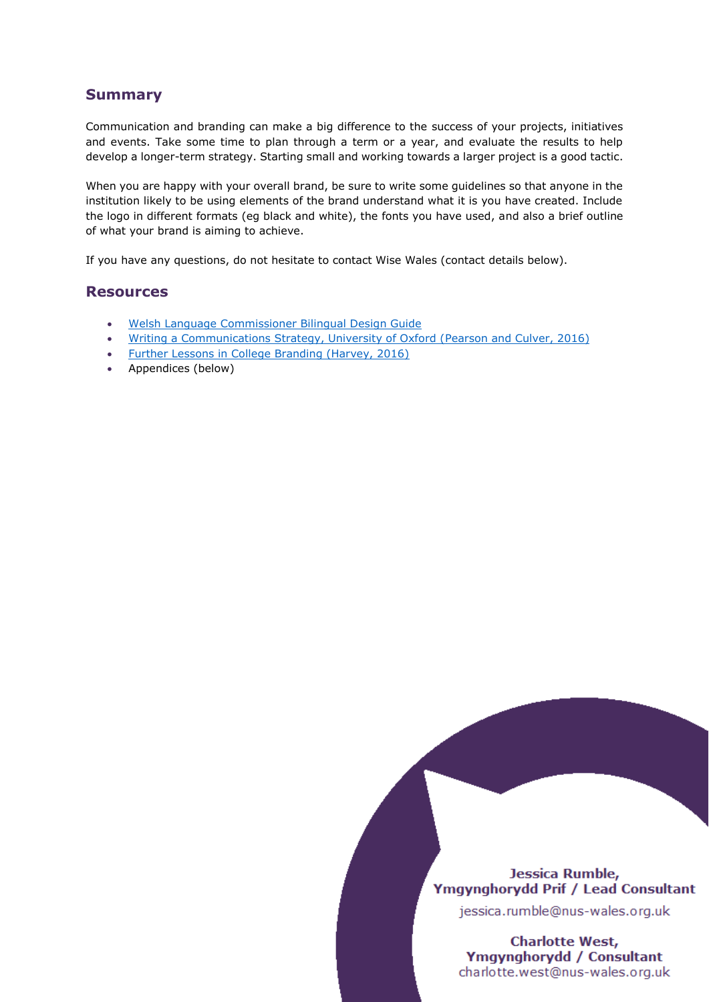# **Summary**

Communication and branding can make a big difference to the success of your projects, initiatives and events. Take some time to plan through a term or a year, and evaluate the results to help develop a longer-term strategy. Starting small and working towards a larger project is a good tactic.

When you are happy with your overall brand, be sure to write some guidelines so that anyone in the institution likely to be using elements of the brand understand what it is you have created. Include the logo in different formats (eg black and white), the fonts you have used, and also a brief outline of what your brand is aiming to achieve.

If you have any questions, do not hesitate to contact Wise Wales (contact details below).

## **Resources**

- [Welsh Language Commissioner Bilingual Design Guide](https://www.swansea.ac.uk/media/CYG1754%20Canllaw%20Dylunio%20ENGLISH.pdf)
- [Writing a Communications Strategy, University of Oxford \(Pearson and Culver, 2016\)](https://www.ox.ac.uk/sites/files/oxford/media_wysiwyg/Writing%20a%20communications%20strategy%20%2818.02.16%29.pdf)
- [Further Lessons in College Branding \(Harvey, 2016\)](http://fabrikbrands.com/further-lessons-in-college-branding/)
- Appendices (below)

## Jessica Rumble, Ymgynghorydd Prif / Lead Consultant

jessica.rumble@nus-wales.org.uk

**Charlotte West,** Ymgynghorydd / Consultant charlotte.west@nus-wales.org.uk